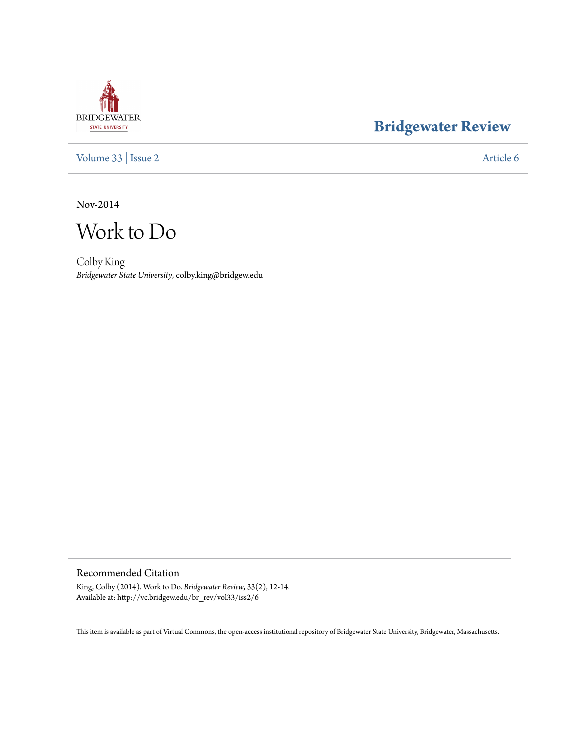## **BRIDGEWATER** STATE UNIVERSITY

## **[Bridgewater Review](http://vc.bridgew.edu/br_rev)**

[Volume 33](http://vc.bridgew.edu/br_rev/vol33) | [Issue 2](http://vc.bridgew.edu/br_rev/vol33/iss2) [Article 6](http://vc.bridgew.edu/br_rev/vol33/iss2/6)

Nov-2014

Work to Do

Colby King *Bridgewater State University*, colby.king@bridgew.edu

Recommended Citation

King, Colby (2014). Work to Do. *Bridgewater Review*, 33(2), 12-14. Available at: http://vc.bridgew.edu/br\_rev/vol33/iss2/6

This item is available as part of Virtual Commons, the open-access institutional repository of Bridgewater State University, Bridgewater, Massachusetts.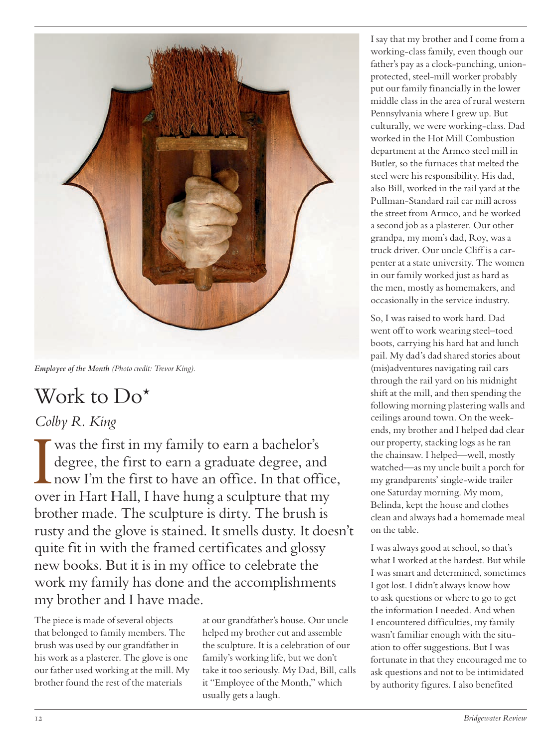

*Employee of the Month (Photo credit: Trevor King).*

## Work to Do<sup>\*</sup>

## *Colby R. King*

I was the first in my family to earn a bachelor's<br>degree, the first to earn a graduate degree, and<br>now I'm the first to have an office. In that office<br>over in Hart Hall, I have hung a sculpture that my was the first in my family to earn a bachelor's degree, the first to earn a graduate degree, and now I'm the first to have an office. In that office, brother made. The sculpture is dirty. The brush is rusty and the glove is stained. It smells dusty. It doesn't quite fit in with the framed certificates and glossy new books. But it is in my office to celebrate the work my family has done and the accomplishments my brother and I have made.

The piece is made of several objects that belonged to family members. The brush was used by our grandfather in his work as a plasterer. The glove is one our father used working at the mill. My brother found the rest of the materials

at our grandfather's house. Our uncle helped my brother cut and assemble the sculpture. It is a celebration of our family's working life, but we don't take it too seriously. My Dad, Bill, calls it "Employee of the Month," which usually gets a laugh.

I say that my brother and I come from a working-class family, even though our father's pay as a clock-punching, unionprotected, steel-mill worker probably put our family financially in the lower middle class in the area of rural western Pennsylvania where I grew up. But culturally, we were working-class. Dad worked in the Hot Mill Combustion department at the Armco steel mill in Butler, so the furnaces that melted the steel were his responsibility. His dad, also Bill, worked in the rail yard at the Pullman-Standard rail car mill across the street from Armco, and he worked a second job as a plasterer. Our other grandpa, my mom's dad, Roy, was a truck driver. Our uncle Cliff is a carpenter at a state university. The women in our family worked just as hard as the men, mostly as homemakers, and occasionally in the service industry.

So, I was raised to work hard. Dad went off to work wearing steel–toed boots, carrying his hard hat and lunch pail. My dad's dad shared stories about (mis)adventures navigating rail cars through the rail yard on his midnight shift at the mill, and then spending the following morning plastering walls and ceilings around town. On the weekends, my brother and I helped dad clear our property, stacking logs as he ran the chainsaw. I helped—well, mostly watched—as my uncle built a porch for my grandparents' single-wide trailer one Saturday morning. My mom, Belinda, kept the house and clothes clean and always had a homemade meal on the table.

I was always good at school, so that's what I worked at the hardest. But while I was smart and determined, sometimes I got lost. I didn't always know how to ask questions or where to go to get the information I needed. And when I encountered difficulties, my family wasn't familiar enough with the situation to offer suggestions. But I was fortunate in that they encouraged me to ask questions and not to be intimidated by authority figures. I also benefited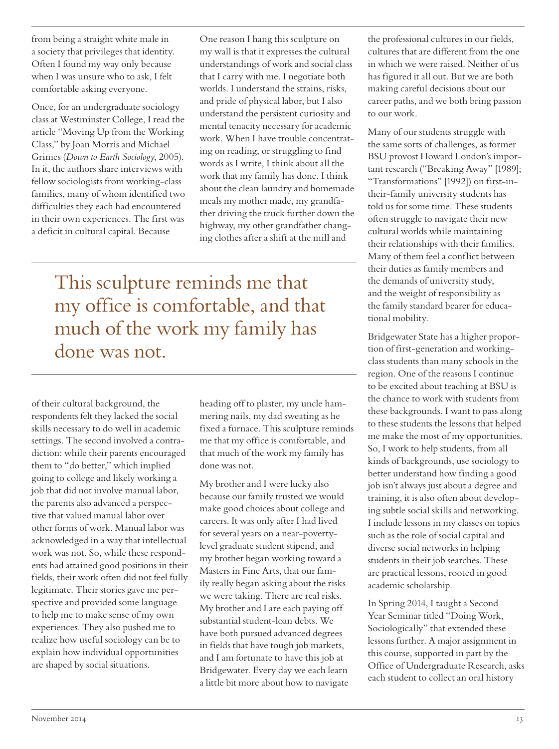from being a straight white male in a society that privileges that identity. Often I found my way only because when I was unsure who to ask, I felt comfortable asking everyone.

Once, for an undergraduate sociology class at Westminster College, I read the article "Moving Up from the Working Class," by Joan Morris and Michael Grimes (*Down to Earth Sociology*, 2005). In it, the authors share interviews with fellow sociologists from working-class families, many of whom identified two difficulties they each had encountered in their own experiences. The first was a deficit in cultural capital. Because

One reason I hang this sculpture on my wall is that it expresses the cultural understandings of work and social class that I carry with me. I negotiate both worlds. I understand the strains, risks, and pride of physical labor, but I also understand the persistent curiosity and mental tenacity necessary for academic work. When I have trouble concentrating on reading, or struggling to find words as I write, I think about all the work that my family has done. I think about the clean laundry and homemade meals my mother made, my grandfather driving the truck further down the highway, my other grandfather changing clothes after a shift at the mill and

This sculpture reminds me that my office is comfortable, and that much of the work my family has done was not.

of their cultural background, the respondents felt they lacked the social skills necessary to do well in academic settings. The second involved a contradiction: while their parents encouraged them to "do better," which implied going to college and likely working a job that did not involve manual labor, the parents also advanced a perspective that valued manual labor over other forms of work. Manual labor was acknowledged in a way that intellectual work was not. So, while these respondents had attained good positions in their fields, their work often did not feel fully legitimate. Their stories gave me perspective and provided some language to help me to make sense of my own experiences. They also pushed me to realize how useful sociology can be to explain how individual opportunities are shaped by social situations.

heading off to plaster, my uncle hammering nails, my dad sweating as he fixed a furnace. This sculpture reminds me that my office is comfortable, and that much of the work my family has done was not.

My brother and I were lucky also because our family trusted we would make good choices about college and careers. It was only after I had lived for several years on a near-povertylevel graduate student stipend, and my brother began working toward a Masters in Fine Arts, that our family really began asking about the risks we were taking. There are real risks. My brother and I are each paying off substantial student-loan debts. We have both pursued advanced degrees in fields that have tough job markets, and I am fortunate to have this job at Bridgewater. Every day we each learn a little bit more about how to navigate the professional cultures in our fields, cultures that are different from the one in which we were raised. Neither of us has figured it all out. But we are both making careful decisions about our career paths, and we both bring passion to our work.

Many of our students struggle with the same sorts of challenges, as former BSU provost Howard London's important research ("Breaking Away" [1989]; "Transformations" [1992]) on first-intheir-family university students has told us for some time. These students often struggle to navigate their new cultural worlds while maintaining their relationships with their families. Many of them feel a conflict between their duties as family members and the demands of university study, and the weight of responsibility as the family standard bearer for educational mobility.

Bridgewater State has a higher proportion of first-generation and workingclass students than many schools in the region. One of the reasons I continue to be excited about teaching at BSU is the chance to work with students from these backgrounds. I want to pass along to these students the lessons that helped me make the most of my opportunities. So, I work to help students, from all kinds of backgrounds, use sociology to better understand how finding a good job isn't always just about a degree and training, it is also often about developing subtle social skills and networking. I include lessons in my classes on topics such as the role of social capital and diverse social networks in helping students in their job searches. These are practical lessons, rooted in good academic scholarship.

In Spring 2014, I taught a Second Year Seminar titled "Doing Work, Sociologically" that extended these lessons further. A major assignment in this course, supported in part by the Office of Undergraduate Research, asks each student to collect an oral history